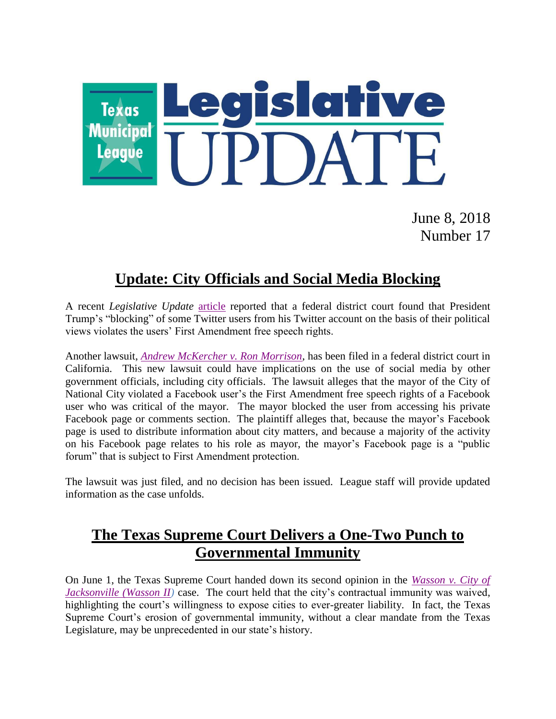

June 8, 2018 Number 17

## **Update: City Officials and Social Media Blocking**

A recent *Legislative Update* [article](https://www.tml.org/legis_updates/president-oas-tweets-may-affect-social-media-policies) reported that a federal district court found that President Trump's "blocking" of some Twitter users from his Twitter account on the basis of their political views violates the users' First Amendment free speech rights.

Another lawsuit, *[Andrew McKercher v. Ron Morrison](https://www.tml.org/p/McKercher%20v.%20Morrison.pdf)*, has been filed in a federal district court in California. This new lawsuit could have implications on the use of social media by other government officials, including city officials. The lawsuit alleges that the mayor of the City of National City violated a Facebook user's the First Amendment free speech rights of a Facebook user who was critical of the mayor. The mayor blocked the user from accessing his private Facebook page or comments section. The plaintiff alleges that, because the mayor's Facebook page is used to distribute information about city matters, and because a majority of the activity on his Facebook page relates to his role as mayor, the mayor's Facebook page is a "public forum" that is subject to First Amendment protection.

The lawsuit was just filed, and no decision has been issued. League staff will provide updated information as the case unfolds.

## **The Texas Supreme Court Delivers a One-Two Punch to Governmental Immunity**

On June 1, the Texas Supreme Court handed down its second opinion in the *[Wasson v. City of](http://www.txcourts.gov/media/1441779/170198.pdf)  [Jacksonville \(Wasson II\)](http://www.txcourts.gov/media/1441779/170198.pdf)* case. The court held that the city's contractual immunity was waived, highlighting the court's willingness to expose cities to ever-greater liability. In fact, the Texas Supreme Court's erosion of governmental immunity, without a clear mandate from the Texas Legislature, may be unprecedented in our state's history.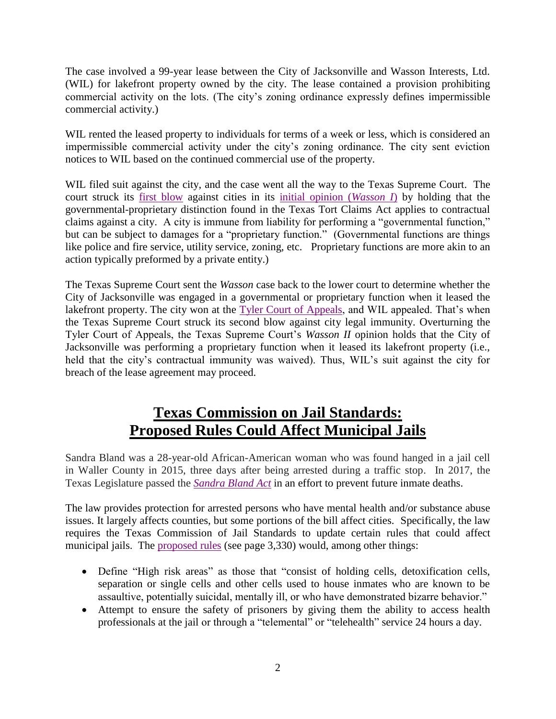The case involved a 99-year lease between the City of Jacksonville and Wasson Interests, Ltd. (WIL) for lakefront property owned by the city. The lease contained a provision prohibiting commercial activity on the lots. (The city's zoning ordinance expressly defines impermissible commercial activity.)

WIL rented the leased property to individuals for terms of a week or less, which is considered an impermissible commercial activity under the city's zoning ordinance. The city sent eviction notices to WIL based on the continued commercial use of the property.

WIL filed suit against the city, and the case went all the way to the Texas Supreme Court. The court struck its [first blow](https://www.tml.org/legis_updates/texas-supreme-court-cities-have-unlimited-liability-on-certain-contracts-part-ii) against cities in its [initial opinion \(](http://www.search.txcourts.gov/SearchMedia.aspx?MediaVersionID=303e7805-f844-4791-9a04-473efeeac6d9&coa=cossup&DT=OPINION&MediaID=eb01fbc6-8b01-45b3-a943-950f63b05088)*Wasson I*) by holding that the governmental-proprietary distinction found in the Texas Tort Claims Act applies to contractual claims against a city. A city is immune from liability for performing a "governmental function," but can be subject to damages for a "proprietary function." (Governmental functions are things like police and fire service, utility service, zoning, etc. Proprietary functions are more akin to an action typically preformed by a private entity.)

The Texas Supreme Court sent the *Wasson* case back to the lower court to determine whether the City of Jacksonville was engaged in a governmental or proprietary function when it leased the lakefront property. The city won at the [Tyler Court of Appeals,](https://www.tml.org/legis_updates/contractual-immunity-cities-lost-the-war-but-won-the-battle) and WIL appealed. That's when the Texas Supreme Court struck its second blow against city legal immunity. Overturning the Tyler Court of Appeals, the Texas Supreme Court's *Wasson II* opinion holds that the City of Jacksonville was performing a proprietary function when it leased its lakefront property (i.e., held that the city's contractual immunity was waived). Thus, WIL's suit against the city for breach of the lease agreement may proceed.

# **Texas Commission on Jail Standards: Proposed Rules Could Affect Municipal Jails**

Sandra Bland was a 28-year-old African-American woman who was found hanged in a jail cell in Waller County in 2015, three days after being arrested during a traffic stop. In 2017, the Texas Legislature passed the *[Sandra Bland Act](https://capitol.texas.gov/tlodocs/85R/billtext/html/SB01849F.htm)* in an effort to prevent future inmate deaths.

The law provides protection for arrested persons who have mental health and/or substance abuse issues. It largely affects counties, but some portions of the bill affect cities. Specifically, the law requires the Texas Commission of Jail Standards to update certain rules that could affect municipal jails. The [proposed rules](http://www.sos.state.tx.us/texreg/pdf/backview/0525/0525prop.pdf) (see page 3,330) would, among other things:

- Define "High risk areas" as those that "consist of holding cells, detoxification cells, separation or single cells and other cells used to house inmates who are known to be assaultive, potentially suicidal, mentally ill, or who have demonstrated bizarre behavior."
- Attempt to ensure the safety of prisoners by giving them the ability to access health professionals at the jail or through a "telemental" or "telehealth" service 24 hours a day.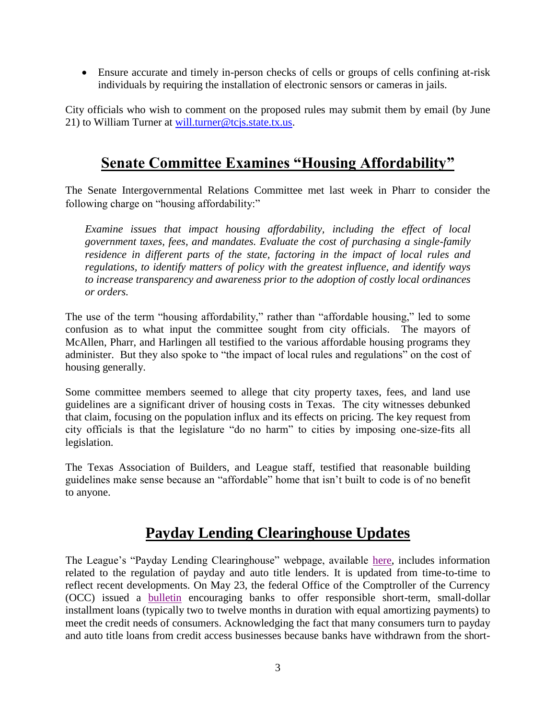Ensure accurate and timely in-person checks of cells or groups of cells confining at-risk individuals by requiring the installation of electronic sensors or cameras in jails.

City officials who wish to comment on the proposed rules may submit them by email (by June 21) to William Turner at [will.turner@tcjs.state.tx.us.](mailto:will.turner@tcjs.state.tx.us)

#### **Senate Committee Examines "Housing Affordability"**

The Senate Intergovernmental Relations Committee met last week in Pharr to consider the following charge on "housing affordability:"

*Examine issues that impact housing affordability, including the effect of local government taxes, fees, and mandates. Evaluate the cost of purchasing a single-family residence in different parts of the state, factoring in the impact of local rules and regulations, to identify matters of policy with the greatest influence, and identify ways to increase transparency and awareness prior to the adoption of costly local ordinances or orders.*

The use of the term "housing affordability," rather than "affordable housing," led to some confusion as to what input the committee sought from city officials. The mayors of McAllen, Pharr, and Harlingen all testified to the various affordable housing programs they administer. But they also spoke to "the impact of local rules and regulations" on the cost of housing generally.

Some committee members seemed to allege that city property taxes, fees, and land use guidelines are a significant driver of housing costs in Texas. The city witnesses debunked that claim, focusing on the population influx and its effects on pricing. The key request from city officials is that the legislature "do no harm" to cities by imposing one-size-fits all legislation.

The Texas Association of Builders, and League staff, testified that reasonable building guidelines make sense because an "affordable" home that isn't built to code is of no benefit to anyone.

### **Payday Lending Clearinghouse Updates**

The League's "Payday Lending Clearinghouse" webpage, available [here,](https://www.tml.org/payday-updates) includes information related to the regulation of payday and auto title lenders. It is updated from time-to-time to reflect recent developments. On May 23, the federal Office of the Comptroller of the Currency (OCC) issued a [bulletin](https://www.occ.gov/news-issuances/bulletins/2018/bulletin-2018-14.html) encouraging banks to offer responsible short-term, small-dollar installment loans (typically two to twelve months in duration with equal amortizing payments) to meet the credit needs of consumers. Acknowledging the fact that many consumers turn to payday and auto title loans from credit access businesses because banks have withdrawn from the short